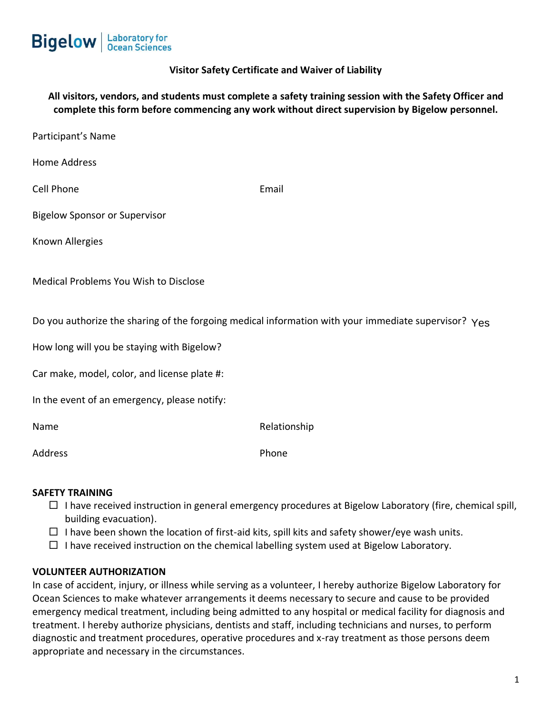

# **Visitor Safety Certificate and Waiver of Liability**

**All visitors, vendors, and students must complete a safety training session with the Safety Officer and complete this form before commencing any work without direct supervision by Bigelow personnel.**

| Participant's Name                                                                                   |              |
|------------------------------------------------------------------------------------------------------|--------------|
| Home Address                                                                                         |              |
| Cell Phone                                                                                           | Email        |
| <b>Bigelow Sponsor or Supervisor</b>                                                                 |              |
| Known Allergies                                                                                      |              |
| Medical Problems You Wish to Disclose                                                                |              |
| Do you authorize the sharing of the forgoing medical information with your immediate supervisor? Yes |              |
| How long will you be staying with Bigelow?                                                           |              |
| Car make, model, color, and license plate #:                                                         |              |
| In the event of an emergency, please notify:                                                         |              |
| Name                                                                                                 | Relationship |
| Address                                                                                              | Phone        |

### **SAFETY TRAINING**

- $\Box$  I have received instruction in general emergency procedures at Bigelow Laboratory (fire, chemical spill, building evacuation).
- $\Box$  I have been shown the location of first-aid kits, spill kits and safety shower/eye wash units.
- $\Box$  I have received instruction on the chemical labelling system used at Bigelow Laboratory.

### **VOLUNTEER AUTHORIZATION**

In case of accident, injury, or illness while serving as a volunteer, I hereby authorize Bigelow Laboratory for Ocean Sciences to make whatever arrangements it deems necessary to secure and cause to be provided emergency medical treatment, including being admitted to any hospital or medical facility for diagnosis and treatment. I hereby authorize physicians, dentists and staff, including technicians and nurses, to perform diagnostic and treatment procedures, operative procedures and x-ray treatment as those persons deem appropriate and necessary in the circumstances.